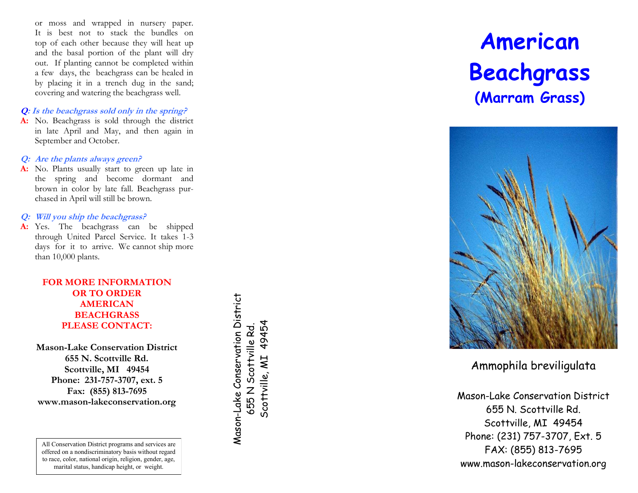or moss and wrapped in nursery paper. It is best not to stack the bundles on top of each other because they will heat up and the basal portion of the plant will dry out. If planting cannot be completed within a few days, the beachgrass can be healed in by placing it in a trench dug in the sand; covering and watering the beachgrass well.

## **Q: Is the beachgrass sold only in the spring?**

**A:** No. Beachgrass is sold through the district in late April and May, and then again in September and October.

#### **Q: Are the plants always green?**

**A:** No. Plants usually start to green up late in the spring and become dormant and brown in color by late fall. Beachgrass pur chased in April will still be brown.

#### **Q: Will you ship the beachgrass?**

**A:** Yes. The beachgrass can be shipped through United Parcel Service. It takes 1 -3 days for it to arrive. We cannot ship more than 10,000 plants.

# **FOR MORE INFORMATION OR TO ORDER AMERICAN BEACHGRASS PLEASE CONTACT:**

**Mason -Lake Conservation District 655 N. Scottville Rd. Scottville, MI 49454 Phone: 231 -757 -3707, ext. 5 Fax: (855) 813 -7695 www.mason -lakeconservation.org**

All Conservation District programs and services are offered on a nondiscriminatory basis without regard to race, color, national origin, religion, gender, age, marital status, handicap height, or weight.

Mason-Lake Conservation District Mason-Lake Conservation District Scottville, MI 49454 Scottville, MI 49454 655 N Scottville Rd. 655 N Scottville Rd.

# **American Beachgrass (Marram Grass)**



Ammophila breviligulata

Mason -Lake Conservation District 655 N. Scottville Rd. Scottville, MI 49454 Phone: (231) 757 -3707, Ext. 5 FAX: (855) 813 -7695 www.mason -lakeconservation.org